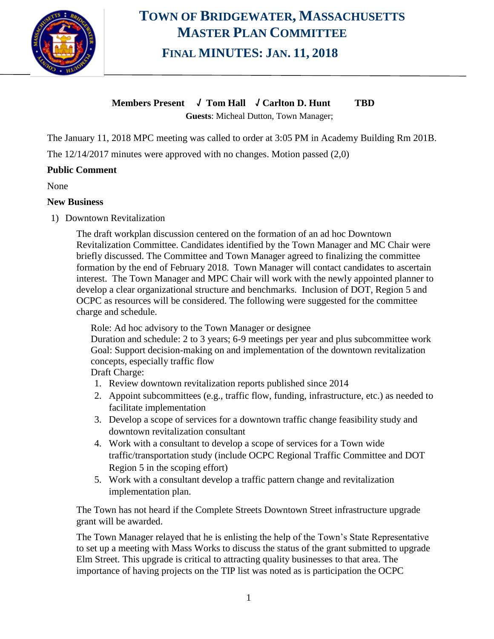

## **TOWN OF BRIDGEWATER, MASSACHUSETTS MASTER PLAN COMMITTEE FINAL MINUTES: JAN. 11, 2018**

### **Members Present** √ **Tom Hall** √ **Carlton D. Hunt TBD**

**Guests**: Micheal Dutton, Town Manager;

The January 11, 2018 MPC meeting was called to order at 3:05 PM in Academy Building Rm 201B.

The 12/14/2017 minutes were approved with no changes. Motion passed (2,0)

#### **Public Comment**

None

#### **New Business**

1) Downtown Revitalization

The draft workplan discussion centered on the formation of an ad hoc Downtown Revitalization Committee. Candidates identified by the Town Manager and MC Chair were briefly discussed. The Committee and Town Manager agreed to finalizing the committee formation by the end of February 2018. Town Manager will contact candidates to ascertain interest. The Town Manager and MPC Chair will work with the newly appointed planner to develop a clear organizational structure and benchmarks. Inclusion of DOT, Region 5 and OCPC as resources will be considered. The following were suggested for the committee charge and schedule.

Role: Ad hoc advisory to the Town Manager or designee

Duration and schedule: 2 to 3 years; 6-9 meetings per year and plus subcommittee work Goal: Support decision-making on and implementation of the downtown revitalization concepts, especially traffic flow

Draft Charge:

- 1. Review downtown revitalization reports published since 2014
- 2. Appoint subcommittees (e.g., traffic flow, funding, infrastructure, etc.) as needed to facilitate implementation
- 3. Develop a scope of services for a downtown traffic change feasibility study and downtown revitalization consultant
- 4. Work with a consultant to develop a scope of services for a Town wide traffic/transportation study (include OCPC Regional Traffic Committee and DOT Region 5 in the scoping effort)
- 5. Work with a consultant develop a traffic pattern change and revitalization implementation plan.

The Town has not heard if the Complete Streets Downtown Street infrastructure upgrade grant will be awarded.

The Town Manager relayed that he is enlisting the help of the Town's State Representative to set up a meeting with Mass Works to discuss the status of the grant submitted to upgrade Elm Street. This upgrade is critical to attracting quality businesses to that area. The importance of having projects on the TIP list was noted as is participation the OCPC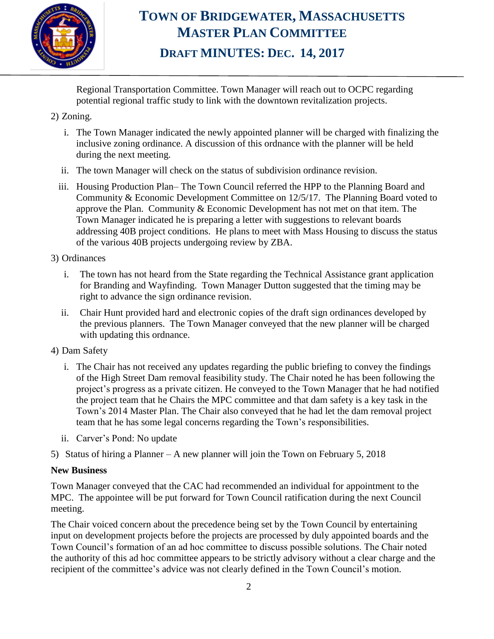

## **TOWN OF BRIDGEWATER, MASSACHUSETTS MASTER PLAN COMMITTEE DRAFT MINUTES: DEC. 14, 2017**

Regional Transportation Committee. Town Manager will reach out to OCPC regarding potential regional traffic study to link with the downtown revitalization projects.

#### 2) Zoning.

- i. The Town Manager indicated the newly appointed planner will be charged with finalizing the inclusive zoning ordinance. A discussion of this ordnance with the planner will be held during the next meeting.
- ii. The town Manager will check on the status of subdivision ordinance revision.
- iii. Housing Production Plan– The Town Council referred the HPP to the Planning Board and Community & Economic Development Committee on 12/5/17. The Planning Board voted to approve the Plan. Community & Economic Development has not met on that item. The Town Manager indicated he is preparing a letter with suggestions to relevant boards addressing 40B project conditions. He plans to meet with Mass Housing to discuss the status of the various 40B projects undergoing review by ZBA.

#### 3) Ordinances

- i. The town has not heard from the State regarding the Technical Assistance grant application for Branding and Wayfinding. Town Manager Dutton suggested that the timing may be right to advance the sign ordinance revision.
- ii. Chair Hunt provided hard and electronic copies of the draft sign ordinances developed by the previous planners. The Town Manager conveyed that the new planner will be charged with updating this ordnance.

#### 4) Dam Safety

- i. The Chair has not received any updates regarding the public briefing to convey the findings of the High Street Dam removal feasibility study. The Chair noted he has been following the project's progress as a private citizen. He conveyed to the Town Manager that he had notified the project team that he Chairs the MPC committee and that dam safety is a key task in the Town's 2014 Master Plan. The Chair also conveyed that he had let the dam removal project team that he has some legal concerns regarding the Town's responsibilities.
- ii. Carver's Pond: No update
- 5) Status of hiring a Planner A new planner will join the Town on February 5, 2018

#### **New Business**

Town Manager conveyed that the CAC had recommended an individual for appointment to the MPC. The appointee will be put forward for Town Council ratification during the next Council meeting.

The Chair voiced concern about the precedence being set by the Town Council by entertaining input on development projects before the projects are processed by duly appointed boards and the Town Council's formation of an ad hoc committee to discuss possible solutions. The Chair noted the authority of this ad hoc committee appears to be strictly advisory without a clear charge and the recipient of the committee's advice was not clearly defined in the Town Council's motion.